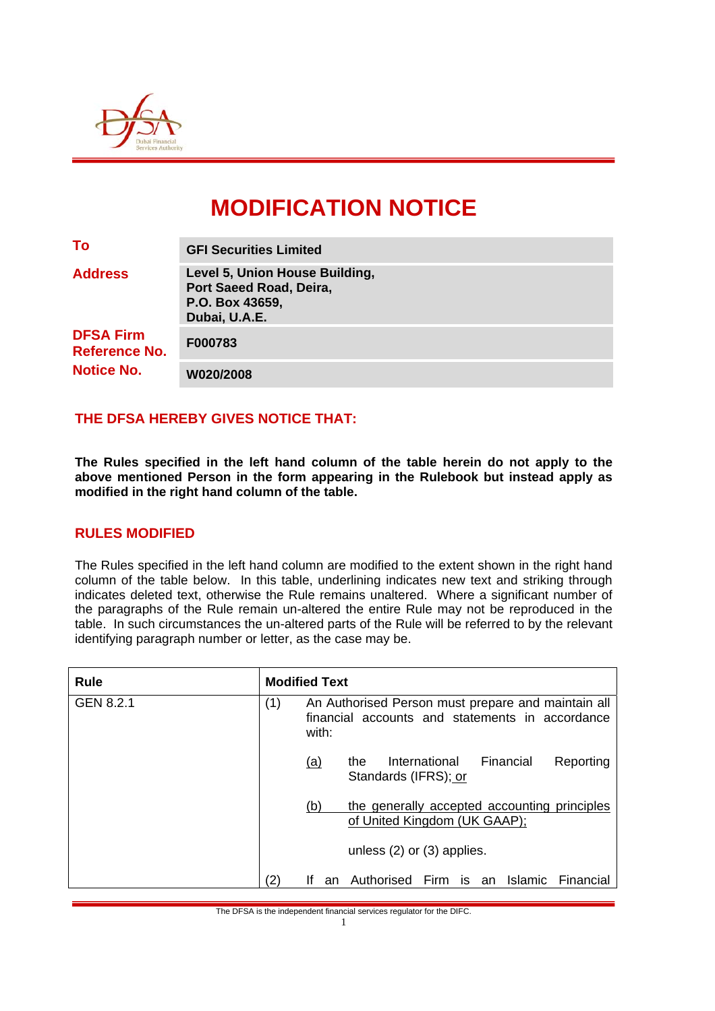

# **MODIFICATION NOTICE**

| To                                       | <b>GFI Securities Limited</b>                                                                 |  |  |  |
|------------------------------------------|-----------------------------------------------------------------------------------------------|--|--|--|
| <b>Address</b>                           | Level 5, Union House Building,<br>Port Saeed Road, Deira,<br>P.O. Box 43659,<br>Dubai, U.A.E. |  |  |  |
| <b>DFSA Firm</b><br><b>Reference No.</b> | F000783                                                                                       |  |  |  |
| <b>Notice No.</b>                        | W020/2008                                                                                     |  |  |  |

## **THE DFSA HEREBY GIVES NOTICE THAT:**

**The Rules specified in the left hand column of the table herein do not apply to the above mentioned Person in the form appearing in the Rulebook but instead apply as modified in the right hand column of the table.** 

#### **RULES MODIFIED**

The Rules specified in the left hand column are modified to the extent shown in the right hand column of the table below. In this table, underlining indicates new text and striking through indicates deleted text, otherwise the Rule remains unaltered. Where a significant number of the paragraphs of the Rule remain un-altered the entire Rule may not be reproduced in the table. In such circumstances the un-altered parts of the Rule will be referred to by the relevant identifying paragraph number or letter, as the case may be.

| <b>Rule</b> | <b>Modified Text</b>                                                                                                  |            |                                                                              |  |  |  |
|-------------|-----------------------------------------------------------------------------------------------------------------------|------------|------------------------------------------------------------------------------|--|--|--|
| GEN 8.2.1   | An Authorised Person must prepare and maintain all<br>(1)<br>financial accounts and statements in accordance<br>with: |            |                                                                              |  |  |  |
|             |                                                                                                                       | <u>(a)</u> | Financial<br>International<br>Reporting<br>the<br>Standards (IFRS); or       |  |  |  |
|             |                                                                                                                       | (b)        | the generally accepted accounting principles<br>of United Kingdom (UK GAAP); |  |  |  |
|             |                                                                                                                       |            | unless $(2)$ or $(3)$ applies.                                               |  |  |  |
|             | (2)                                                                                                                   | Ιf<br>an   | Authorised<br><b>Islamic</b><br>Firm<br>Financial<br>is.<br>an               |  |  |  |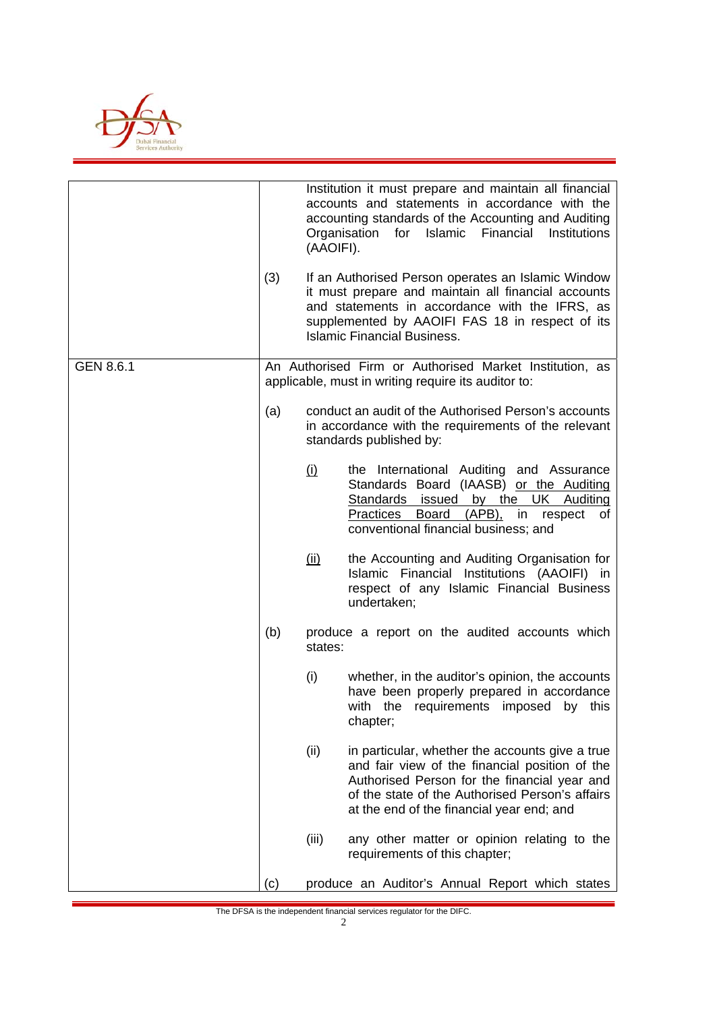

|           | (3)                                                                                                                                                                                                                                                             | (AAOIFI).                                                 | Institution it must prepare and maintain all financial<br>accounts and statements in accordance with the<br>accounting standards of the Accounting and Auditing<br>Islamic Financial<br>Organisation<br>for<br>Institutions<br>If an Authorised Person operates an Islamic Window<br>it must prepare and maintain all financial accounts<br>and statements in accordance with the IFRS, as<br>supplemented by AAOIFI FAS 18 in respect of its<br><b>Islamic Financial Business.</b> |
|-----------|-----------------------------------------------------------------------------------------------------------------------------------------------------------------------------------------------------------------------------------------------------------------|-----------------------------------------------------------|-------------------------------------------------------------------------------------------------------------------------------------------------------------------------------------------------------------------------------------------------------------------------------------------------------------------------------------------------------------------------------------------------------------------------------------------------------------------------------------|
| GEN 8.6.1 | An Authorised Firm or Authorised Market Institution, as<br>applicable, must in writing require its auditor to:<br>conduct an audit of the Authorised Person's accounts<br>(a)<br>in accordance with the requirements of the relevant<br>standards published by: |                                                           |                                                                                                                                                                                                                                                                                                                                                                                                                                                                                     |
|           |                                                                                                                                                                                                                                                                 |                                                           |                                                                                                                                                                                                                                                                                                                                                                                                                                                                                     |
|           |                                                                                                                                                                                                                                                                 | <u>(i)</u>                                                | the International Auditing and Assurance<br>Standards Board (IAASB) or the Auditing<br>Standards issued by the UK Auditing<br>Board (APB), in respect<br>Practices<br>of<br>conventional financial business; and                                                                                                                                                                                                                                                                    |
|           |                                                                                                                                                                                                                                                                 | <u>(ii)</u>                                               | the Accounting and Auditing Organisation for<br>Islamic Financial Institutions (AAOIFI) in<br>respect of any Islamic Financial Business<br>undertaken;                                                                                                                                                                                                                                                                                                                              |
|           | (b)                                                                                                                                                                                                                                                             | produce a report on the audited accounts which<br>states: |                                                                                                                                                                                                                                                                                                                                                                                                                                                                                     |
|           |                                                                                                                                                                                                                                                                 | (i)                                                       | whether, in the auditor's opinion, the accounts<br>have been properly prepared in accordance<br>with the requirements imposed<br>by this<br>chapter;                                                                                                                                                                                                                                                                                                                                |
|           |                                                                                                                                                                                                                                                                 | (ii)                                                      | in particular, whether the accounts give a true<br>and fair view of the financial position of the<br>Authorised Person for the financial year and<br>of the state of the Authorised Person's affairs<br>at the end of the financial year end; and                                                                                                                                                                                                                                   |
|           |                                                                                                                                                                                                                                                                 | (iii)                                                     | any other matter or opinion relating to the<br>requirements of this chapter;                                                                                                                                                                                                                                                                                                                                                                                                        |
|           | (c)                                                                                                                                                                                                                                                             |                                                           | produce an Auditor's Annual Report which states                                                                                                                                                                                                                                                                                                                                                                                                                                     |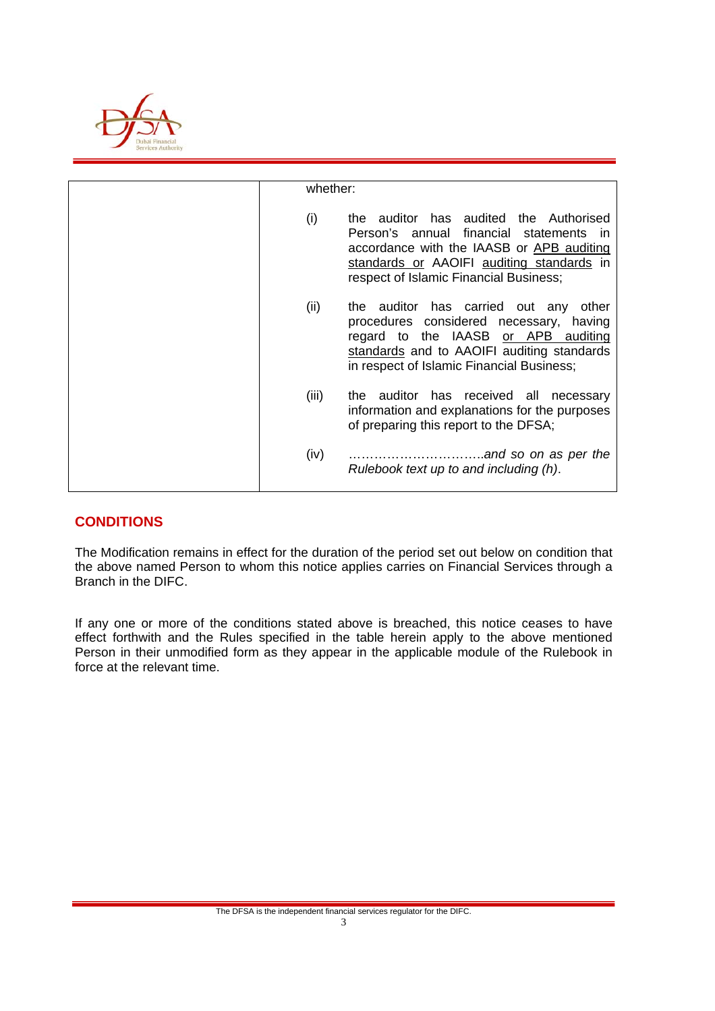

| whether: |                                                                                                                                                                                                                                       |
|----------|---------------------------------------------------------------------------------------------------------------------------------------------------------------------------------------------------------------------------------------|
|          |                                                                                                                                                                                                                                       |
| (i)      | auditor has audited the Authorised<br>the<br>Person's annual financial statements<br>$\mathsf{I}$<br>accordance with the IAASB or APB auditing<br>standards or AAOIFI auditing standards in<br>respect of Islamic Financial Business; |
| (ii)     | the auditor has carried out any other<br>procedures considered necessary, having<br>regard to the IAASB or APB auditing<br>standards and to AAOIFI auditing standards<br>in respect of Islamic Financial Business;                    |
| (iii)    | the auditor has received all necessary<br>information and explanations for the purposes<br>of preparing this report to the DFSA;                                                                                                      |
| (iv)     | Rulebook text up to and including (h).                                                                                                                                                                                                |

## **CONDITIONS**

The Modification remains in effect for the duration of the period set out below on condition that the above named Person to whom this notice applies carries on Financial Services through a Branch in the DIFC.

If any one or more of the conditions stated above is breached, this notice ceases to have effect forthwith and the Rules specified in the table herein apply to the above mentioned Person in their unmodified form as they appear in the applicable module of the Rulebook in force at the relevant time.